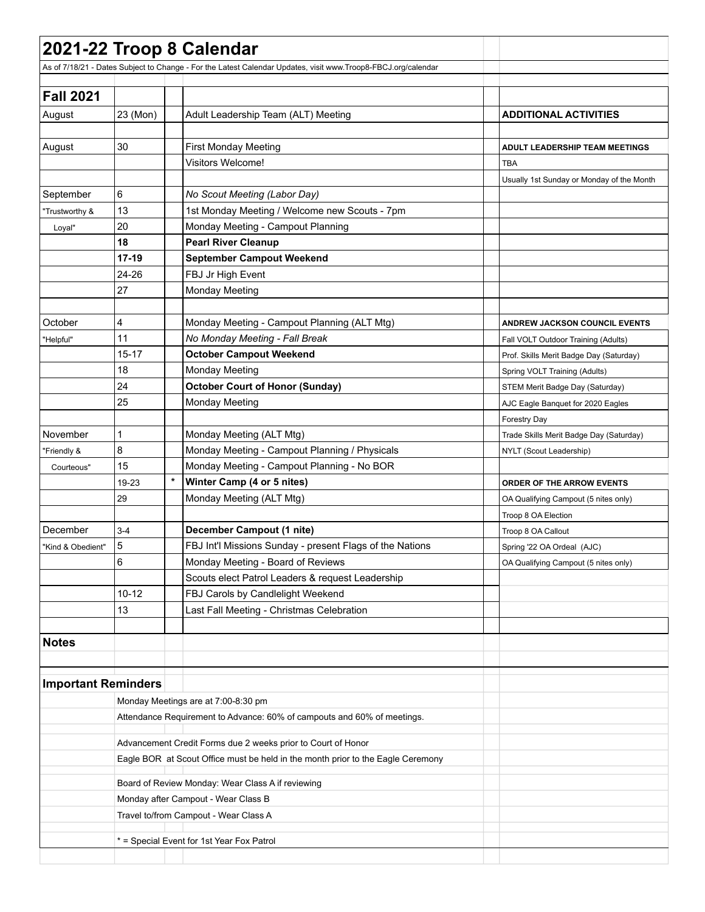|                            |                                                              | 2021-22 Troop 8 Calendar                                                                                      |                                           |  |  |  |  |  |
|----------------------------|--------------------------------------------------------------|---------------------------------------------------------------------------------------------------------------|-------------------------------------------|--|--|--|--|--|
|                            |                                                              | As of 7/18/21 - Dates Subject to Change - For the Latest Calendar Updates, visit www.Troop8-FBCJ.org/calendar |                                           |  |  |  |  |  |
|                            |                                                              |                                                                                                               |                                           |  |  |  |  |  |
| <b>Fall 2021</b>           |                                                              |                                                                                                               |                                           |  |  |  |  |  |
| August                     | 23 (Mon)                                                     | Adult Leadership Team (ALT) Meeting                                                                           | <b>ADDITIONAL ACTIVITIES</b>              |  |  |  |  |  |
|                            |                                                              |                                                                                                               |                                           |  |  |  |  |  |
| August                     | 30                                                           | <b>First Monday Meeting</b>                                                                                   | <b>ADULT LEADERSHIP TEAM MEETINGS</b>     |  |  |  |  |  |
|                            |                                                              | <b>Visitors Welcome!</b>                                                                                      | <b>TBA</b>                                |  |  |  |  |  |
|                            |                                                              |                                                                                                               | Usually 1st Sunday or Monday of the Month |  |  |  |  |  |
| September                  | 6                                                            | No Scout Meeting (Labor Day)                                                                                  |                                           |  |  |  |  |  |
| Trustworthy &              | 13                                                           | 1st Monday Meeting / Welcome new Scouts - 7pm                                                                 |                                           |  |  |  |  |  |
| Loyal"                     | 20                                                           | Monday Meeting - Campout Planning                                                                             |                                           |  |  |  |  |  |
|                            | 18                                                           | <b>Pearl River Cleanup</b>                                                                                    |                                           |  |  |  |  |  |
|                            | $17-19$                                                      | <b>September Campout Weekend</b>                                                                              |                                           |  |  |  |  |  |
|                            | 24-26                                                        | FBJ Jr High Event                                                                                             |                                           |  |  |  |  |  |
|                            | 27                                                           | <b>Monday Meeting</b>                                                                                         |                                           |  |  |  |  |  |
|                            |                                                              |                                                                                                               |                                           |  |  |  |  |  |
| October                    | 4                                                            | Monday Meeting - Campout Planning (ALT Mtg)                                                                   | <b>ANDREW JACKSON COUNCIL EVENTS</b>      |  |  |  |  |  |
| "Helpful"                  | 11                                                           | No Monday Meeting - Fall Break                                                                                | Fall VOLT Outdoor Training (Adults)       |  |  |  |  |  |
|                            | $15 - 17$                                                    | <b>October Campout Weekend</b>                                                                                | Prof. Skills Merit Badge Day (Saturday)   |  |  |  |  |  |
|                            | 18                                                           | <b>Monday Meeting</b>                                                                                         | Spring VOLT Training (Adults)             |  |  |  |  |  |
|                            | 24                                                           | <b>October Court of Honor (Sunday)</b>                                                                        | STEM Merit Badge Day (Saturday)           |  |  |  |  |  |
|                            | 25                                                           | <b>Monday Meeting</b>                                                                                         | AJC Eagle Banquet for 2020 Eagles         |  |  |  |  |  |
|                            |                                                              |                                                                                                               | <b>Forestry Day</b>                       |  |  |  |  |  |
| November                   | 1                                                            | Monday Meeting (ALT Mtg)                                                                                      | Trade Skills Merit Badge Day (Saturday)   |  |  |  |  |  |
| 'Friendly &                | 8                                                            | Monday Meeting - Campout Planning / Physicals                                                                 | NYLT (Scout Leadership)                   |  |  |  |  |  |
| Courteous"                 | 15                                                           | Monday Meeting - Campout Planning - No BOR                                                                    |                                           |  |  |  |  |  |
|                            | 19-23                                                        | $\star$<br>Winter Camp (4 or 5 nites)                                                                         | <b>ORDER OF THE ARROW EVENTS</b>          |  |  |  |  |  |
|                            | 29                                                           | Monday Meeting (ALT Mtg)                                                                                      | OA Qualifying Campout (5 nites only)      |  |  |  |  |  |
|                            |                                                              |                                                                                                               | Troop 8 OA Election                       |  |  |  |  |  |
| December                   | $3 - 4$                                                      | December Campout (1 nite)                                                                                     | Troop 8 OA Callout                        |  |  |  |  |  |
| "Kind & Obedient"          | 5                                                            | FBJ Int'l Missions Sunday - present Flags of the Nations                                                      | Spring '22 OA Ordeal (AJC)                |  |  |  |  |  |
|                            | 6                                                            | Monday Meeting - Board of Reviews                                                                             | OA Qualifying Campout (5 nites only)      |  |  |  |  |  |
|                            |                                                              | Scouts elect Patrol Leaders & request Leadership                                                              |                                           |  |  |  |  |  |
|                            | $10 - 12$                                                    | FBJ Carols by Candlelight Weekend                                                                             |                                           |  |  |  |  |  |
|                            | 13                                                           | Last Fall Meeting - Christmas Celebration                                                                     |                                           |  |  |  |  |  |
|                            |                                                              |                                                                                                               |                                           |  |  |  |  |  |
| <b>Notes</b>               |                                                              |                                                                                                               |                                           |  |  |  |  |  |
| <b>Important Reminders</b> |                                                              |                                                                                                               |                                           |  |  |  |  |  |
|                            |                                                              | Monday Meetings are at 7:00-8:30 pm                                                                           |                                           |  |  |  |  |  |
|                            |                                                              | Attendance Requirement to Advance: 60% of campouts and 60% of meetings.                                       |                                           |  |  |  |  |  |
|                            | Advancement Credit Forms due 2 weeks prior to Court of Honor |                                                                                                               |                                           |  |  |  |  |  |
|                            |                                                              | Eagle BOR at Scout Office must be held in the month prior to the Eagle Ceremony                               |                                           |  |  |  |  |  |
|                            | Board of Review Monday: Wear Class A if reviewing            |                                                                                                               |                                           |  |  |  |  |  |
|                            |                                                              | Monday after Campout - Wear Class B                                                                           |                                           |  |  |  |  |  |
|                            | Travel to/from Campout - Wear Class A                        |                                                                                                               |                                           |  |  |  |  |  |
|                            | * = Special Event for 1st Year Fox Patrol                    |                                                                                                               |                                           |  |  |  |  |  |
|                            |                                                              |                                                                                                               |                                           |  |  |  |  |  |